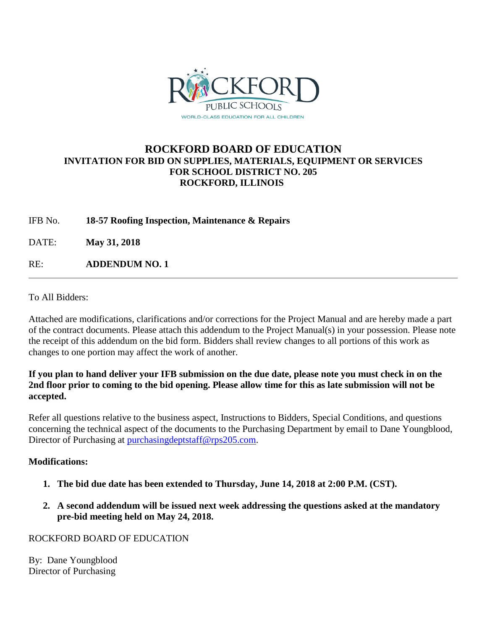

## **ROCKFORD BOARD OF EDUCATION INVITATION FOR BID ON SUPPLIES, MATERIALS, EQUIPMENT OR SERVICES FOR SCHOOL DISTRICT NO. 205 ROCKFORD, ILLINOIS**

IFB No. **18-57 Roofing Inspection, Maintenance & Repairs**

DATE: **May 31, 2018**

RE: **ADDENDUM NO. 1**

To All Bidders:

Attached are modifications, clarifications and/or corrections for the Project Manual and are hereby made a part of the contract documents. Please attach this addendum to the Project Manual(s) in your possession. Please note the receipt of this addendum on the bid form. Bidders shall review changes to all portions of this work as changes to one portion may affect the work of another.

## **If you plan to hand deliver your IFB submission on the due date, please note you must check in on the 2nd floor prior to coming to the bid opening. Please allow time for this as late submission will not be accepted.**

Refer all questions relative to the business aspect, Instructions to Bidders, Special Conditions, and questions concerning the technical aspect of the documents to the Purchasing Department by email to Dane Youngblood, Director of Purchasing at [purchasingdeptstaff@rps205.com.](mailto:purchasingdeptstaff@rps205.com)

## **Modifications:**

- **1. The bid due date has been extended to Thursday, June 14, 2018 at 2:00 P.M. (CST).**
- **2. A second addendum will be issued next week addressing the questions asked at the mandatory pre-bid meeting held on May 24, 2018.**

ROCKFORD BOARD OF EDUCATION

By: Dane Youngblood Director of Purchasing